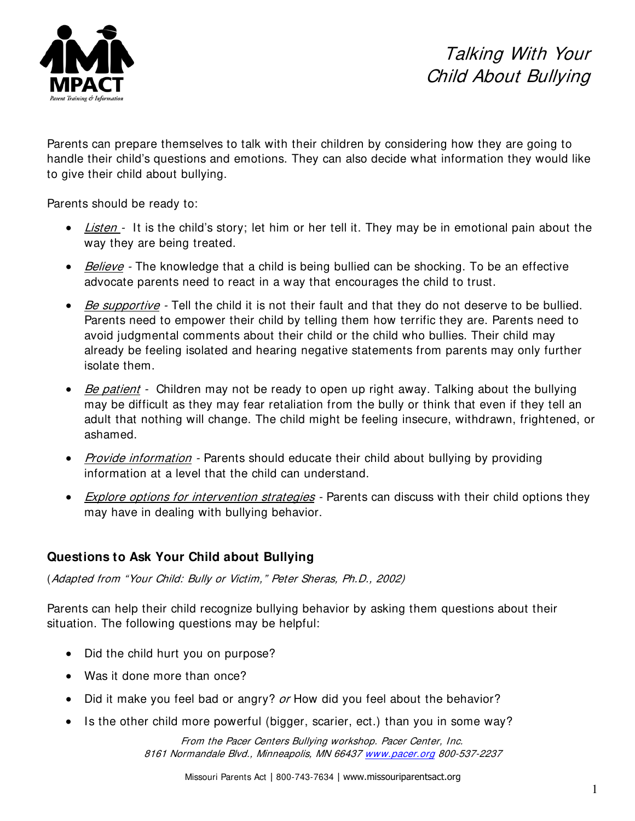

Parents can prepare themselves to talk with their children by considering how they are going to handle their child's questions and emotions. They can also decide what information they would like to give their child about bullying.

Parents should be ready to:

- Listen It is the child's story; let him or her tell it. They may be in emotional pain about the way they are being treated.
- *Believe* The knowledge that a child is being bullied can be shocking. To be an effective advocate parents need to react in a way that encourages the child to trust.
- Be supportive Tell the child it is not their fault and that they do not deserve to be bullied. Parents need to empower their child by telling them how terrific they are. Parents need to avoid judgmental comments about their child or the child who bullies. Their child may already be feeling isolated and hearing negative statements from parents may only further isolate them.
- Be patient Children may not be ready to open up right away. Talking about the bullying may be difficult as they may fear retaliation from the bully or think that even if they tell an adult that nothing will change. The child might be feeling insecure, withdrawn, frightened, or ashamed.
- Provide information Parents should educate their child about bullying by providing information at a level that the child can understand.
- Explore options for intervention strategies Parents can discuss with their child options they may have in dealing with bullying behavior.

## **Questions to Ask Your Child about Bullying**

(Adapted from "Your Child: Bully or Victim," Peter Sheras, Ph.D., 2002)

Parents can help their child recognize bullying behavior by asking them questions about their situation. The following questions may be helpful:

- Did the child hurt you on purpose?
- Was it done more than once?
- Did it make you feel bad or angry? or How did you feel about the behavior?
- Is the other child more powerful (bigger, scarier, ect.) than you in some way?

From the Pacer Centers Bullying workshop. Pacer Center, Inc. 8161 Normandale Blvd., Minneapolis, MN 664[37 www.pacer.org](http://www.pacer.org/) 800-537-2237